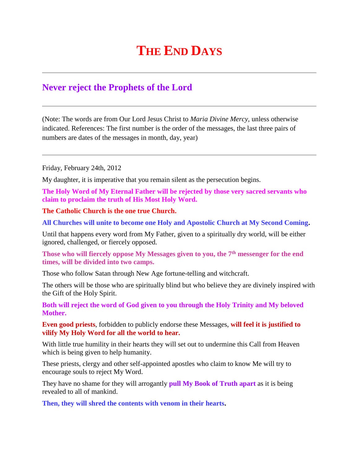## **THE END DAYS**

## **Never reject the Prophets of the Lord**

(Note: The words are from Our Lord Jesus Christ to *Maria Divine Mercy*, unless otherwise indicated. References: The first number is the order of the messages, the last three pairs of numbers are dates of the messages in month, day, year)

Friday, February 24th, 2012

My daughter, it is imperative that you remain silent as the persecution begins.

**The Holy Word of My Eternal Father will be rejected by those very sacred servants who claim to proclaim the truth of His Most Holy Word.**

**The Catholic Church is the one true Church.**

**All Churches will unite to become one Holy and Apostolic Church at My Second Coming.**

Until that happens every word from My Father, given to a spiritually dry world, will be either ignored, challenged, or fiercely opposed.

**Those who will fiercely oppose My Messages given to you, the 7th messenger for the end times, will be divided into two camps.**

Those who follow Satan through New Age fortune-telling and witchcraft.

The others will be those who are spiritually blind but who believe they are divinely inspired with the Gift of the Holy Spirit.

**Both will reject the word of God given to you through the Holy Trinity and My beloved Mother.**

**Even good priests**, forbidden to publicly endorse these Messages, **will feel it is justified to vilify My Holy Word for all the world to hear.**

With little true humility in their hearts they will set out to undermine this Call from Heaven which is being given to help humanity.

These priests, clergy and other self-appointed apostles who claim to know Me will try to encourage souls to reject My Word.

They have no shame for they will arrogantly **pull My Book of Truth apart** as it is being revealed to all of mankind.

**Then, they will shred the contents with venom in their hearts.**